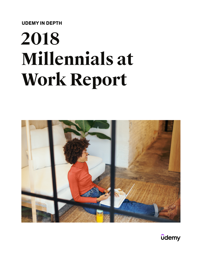**UDEMY IN DEPTH**

# **2018 Millennials at Work Report**



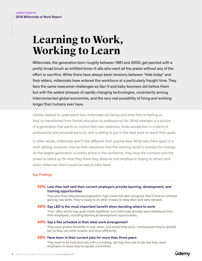# **Learning to Work, Working to Learn**

Millennials, the generation born roughly between 1981 and 2000, get painted with a pretty broad brush as entitled know-it-alls who want all the praise without any of the effort or sacrifice. While there have always been tensions between "kids today" and their elders, millennials have entered the workforce at a particularly fraught time. They face the same newcomer challenges as Gen X and baby boomers did before them but with the added stresses of rapidly changing technologies, uncertainty among interconnected global economies, and the very real possibility of living and working longer than humans ever have.

Udemy wanted to understand how millennials are faring and what they're feeling as they've transitioned from formal education to professional life. What emerges is a picture of a generation that wants to control their own destinies, finds satisfaction in a blend of professional and personal pursuits, and is willing to put in the hard work to reach their goals.

In other words, millennials aren't that different from anyone else. What sets them apart in a work setting, however, may be their insistence that the working world is overdue for change. As the largest generation currently active in the workforce, they have the numbers and the power to stand up for what they think they deserve, and employers hoping to attract and retain millennial talent would be wise to take heed.

#### Key Findings

#### **42%** Less than half said their current employers provide learning, development, and training opportunities

They give their educational preparation high marks but also recognize they'll have to continue gaining new skills. They're ready to do what it takes to keep their skill sets relevant.

#### **42%** Say L&D is the most important benefit when deciding where to work

"Fun" office perks may grab media headlines, but millennials actually want substance from their employers, including learning & development opportunities.

#### **44%** Say a flex schedule is their ideal work arrangement

They want greater flexibility in how, when, and where they work—not because they're spoiled but so they can work smarter and more efficiently.

#### **59%** Have been in their current jobs for more than three years

They want to be loyal and stay with a company, not hop from job to job, but they need employers to show they're equally committed.

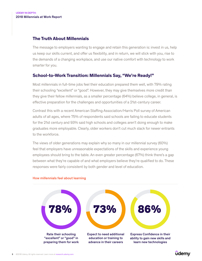# **The Truth About Millennials**

The message to employers wanting to engage and retain this generation is: invest in us, help us keep our skills current, and offer us flexibility, and in return, we will stick with you, rise to the demands of a changing workplace, and use our native comfort with technology to work smarter for you.

# **School-to-Work Transition: Millennials Say, "We're Ready!"**

Most millennials in full-time jobs feel their education prepared them well, with 79% rating their schooling "excellent" or "good". However, they may give themselves more credit than they give their fellow millennials, as a smaller percentage (64%) believe college, in general, is effective preparation for the challenges and opportunities of a 21st-century career.

Contrast this with a recent [American Staffing Association/Harris Poll](https://www.prnewswire.com/news-releases/the-skills-gap-whos-to-blame-300570216.html) survey of American adults of all ages, where 75% of respondents said schools are failing to educate students for the 21st century and 93% said high schools and colleges aren't doing enough to make graduates more employable. Clearly, older workers don't cut much slack for newer entrants to the workforce.

The views of older generations may explain why so many in our millennial survey (60%) feel that employers have unreasonable expectations of the skills and experience young employees should bring to the table. An even greater percentage (67%) think there's a gap between what they're capable of and what employers believe they're qualified to do. These responses were fairly consistent by both gender and level of education.



#### How millennials feel about learning

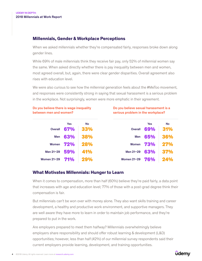# **Millennials, Gender & Workplace Perceptions**

When we asked millennials whether they're compensated fairly, responses broke down along gender lines.

While 69% of male millennials think they receive fair pay, only 52% of millennial women say the same. When asked directly whether there is pay inequality between men and women, most agreed overall, but, again, there were clear gender disparities. Overall agreement also rises with education level.

We were also curious to see how the millennial generation feels about the #MeToo movement, and responses were consistently strong in saying that sexual harassment is a serious problem in the workplace. Not surprisingly, women were more emphatic in their agreement.

#### Do you believe there is wage inequality between men and women?

#### Do you believe sexual harassment is a serious problem in the workplace?

|                    | <b>Yes</b>   | <b>No</b>  |                    | <b>Yes</b>  | No  |
|--------------------|--------------|------------|--------------------|-------------|-----|
| <b>Overall</b>     | 67%          | 33%        | <b>Overall</b>     | 69%         | 31% |
| Men                | 63%          | 38%        | Men                | 65%         | 36% |
|                    | Women $72\%$ | 28%        |                    | Women $73%$ | 27% |
| Men 21-29          | 59%          | 41%        | Men 21-29          | 63%         | 37% |
| <b>Women 21-29</b> | <b>71%</b>   | <b>29%</b> | <b>Women 21-29</b> | 76%         | 24% |

# **What Motivates Millennials: Hunger to Learn**

When it comes to compensation, more than half (60%) believe they're paid fairly, a data point that increases with age and education level; 77% of those with a post-grad degree think their compensation is fair.

But millennials can't be won over with money alone. They also want skills training and career development, a healthy and productive work environment, and supportive managers. They are well aware they have more to learn in order to maintain job performance, and they're prepared to put in the work.

Are employers prepared to meet them halfway? Millennials overwhelmingly believe employers share responsibility and should offer robust learning & development (L&D) opportunities; however, less than half (42%) of our millennial survey respondents said their current employers provide learning, development, and training opportunities.

# **udemy**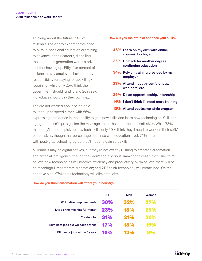Thinking about the future, 73% of millennials said they expect they'll need to pursue additional education or training to advance in their careers, dispelling the notion this generation wants a prize just for showing up. Fifty-five percent of millennials say employers have primary responsibility for paying for upskilling/ retraining, while only 25% think the government should fund it, and 20% said individuals should pay their own way.

They're not worried about being able to keep up to speed either, with 86% How will you maintain or enhance your skills?

- **46%** Learn on my own with online courses, books, etc.
- **35%** Go back for another degree, continuing education
- **34%** Rely on training provided by my employer
- **27%** Attend industry conferences, webinars, etc.
- **26%** Do an apprenticeship, internship
- **14%** I don't think I'll need more training
- **13%** Attend bootcamp-style program

expressing confidence in their ability to gain new skills and learn new technologies. Still, this age group hasn't quite gotten the message about the importance of soft skills. While 73% think they'll need to pick up new tech skills, only 69% think they'll need to work on their soft/ people skills, though that percentage does rise with education level; 74% of respondents with post-grad schooling agree they'll need to gain soft skills.

Millennials may be digital natives, but they're not exactly rushing to embrace automation and artificial intelligence, though they don't see a serious, imminent threat either. One-third believe new technologies will improve efficiency and productivity; 23% believe there will be no meaningful impact from automation; and 21% think technology will create jobs. On the negative side, 27% think technology will eliminate jobs.

# How do you think automation will affect your industry?

|                                      | All        | Men | Women      |
|--------------------------------------|------------|-----|------------|
| Will deliver improvements            | 30%        | 32% | 27%        |
| Little or no meaningful impact       | 23%        | 18% | 29%        |
| Create jobs                          | <b>21%</b> | 21% | 20%        |
| Eliminate jobs but will take a while | 17%        | 18% | 15%        |
| Eliminate jobs within 5 years        | 10%        |     | <b>20%</b> |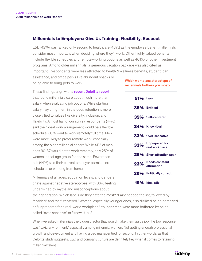# **Millennials to Employers: Give Us Training, Flexibility, Respect**

L&D (42%) was ranked only second to healthcare (48%) as the employee benefit millennials consider most important when deciding where they'll work. Other highly valued benefits include flexible schedules and remote-working options as well as 401(k) or other investment programs. Among older millennials, a generous vacation package was also cited as important. Respondents were less attracted to health & wellness benefits, student loan

assistance, and office perks like abundant snacks or being able to bring pets to work.

These findings align with a [recent Deloitte report](https://work.qz.com/1276917/money-will-attract-millennials-to-jobs-but-it-wont-make-them-loyal/) that found millennials care about much more than salary when evaluating job options. While starting salary may bring them in the door, retention is more closely tied to values like diversity, inclusion, and flexibility. Almost half of our survey respondents (44%) said their ideal work arrangement would be a flexible schedule; 30% want to work remotely full time. Men were more likely to prefer remote work, especially among the older millennial cohort. While 41% of men ages 30-37 would opt to work remotely, only 25% of women in that age group felt the same. Fewer than half (44%) said their current employer permits flex schedules or working from home.

Millennials of all ages, education levels, and genders chafe against negative stereotypes, with 86% feeling undermined by myths and misconceptions about

their generation. Which labels do they hate the most? "Lazy" topped the list, followed by "entitled" and "self-centered." Women, especially younger ones, also disliked being perceived as "unprepared for a real-world workplace." Younger men were more bothered by being called "over-sensitive" or "know-it-all."

When we asked millennials the biggest factor that would make them quit a job, the top response was "toxic environment," especially among millennial women. Not getting enough professional growth and development and having a bad manager tied for second. In other words, as that Deloitte study suggests, L&D and company culture are definitely key when it comes to retaining millennial talent.

Which workplace stereotype of millennials bothers you most?

| <b>51%</b> Lazy |                                      |
|-----------------|--------------------------------------|
|                 | 36% Entitled                         |
|                 | 35% Self-centered                    |
|                 | 34% Know-it-all                      |
|                 | 33% Over-sensative                   |
|                 | 33% Unprepared for<br>real workplace |
|                 | 26% Short attention span             |
| 23%             | <b>Needs constant</b><br>affirmation |
|                 | 20% Politically correct              |
|                 | <b>19%</b> Idealistic                |

**udemy**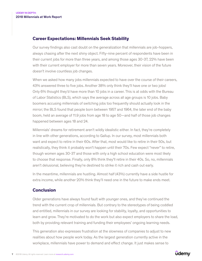### **Career Expectations: Millennials Seek Stability**

Our survey findings also cast doubt on the generalization that millennials are job-hoppers, always chasing after the next shiny object. Fifty-nine percent of respondents have been in their current jobs for more than three years, and among those ages 30-37, 22% have been with their current employer for more than seven years. Moreover, their vision of the future doesn't involve countless job changes.

When we asked how many jobs millennials expected to have over the course of their careers, 43% answered three to five jobs. Another 38% only think they'll have one or two jobs! Only 6% thought they'd have more than 10 jobs in a career. This is at odds with the [Bureau](https://www.bls.gov/nls/nlsfaqs.htm#anch41)  [of Labor Statistics](https://www.bls.gov/nls/nlsfaqs.htm#anch41) (BLS), which says the average across all age groups is 10 jobs. [Baby](https://www.washingtonpost.com/news/wonk/wp/2017/08/28/no-millennials-arent-killing-stable-employment/?noredirect=on&utm_term=.1a77a57c1089)  [boomers accusing millennials of switching jobs too frequently should actually look in the](https://www.washingtonpost.com/news/wonk/wp/2017/08/28/no-millennials-arent-killing-stable-employment/?noredirect=on&utm_term=.1a77a57c1089)  [mirror;](https://www.washingtonpost.com/news/wonk/wp/2017/08/28/no-millennials-arent-killing-stable-employment/?noredirect=on&utm_term=.1a77a57c1089) the BLS found that people born between 1957 and 1964, the later end of the baby boom, held an average of 11.9 jobs from age 18 to age 50—and half of those job changes happened between ages 18 and 24.

Millennials' dreams for retirement aren't wildly idealistic either. In fact, they're completely in line with other generations, according to [Gallup](http://news.gallup.com/poll/234302/snapshot-americans-project-average-retirement-age.aspx). In our survey, most millennials both want and expect to retire in their 60s. After that, most would like to retire in their 50s, but realistically, they think it probably won't happen until their 70s. Few expect "never" to retire, though women ages 30-37 and those with only a high school education were most likely to choose that response. Finally, only 8% think they'll retire in their 40s. So, no, millennials aren't delusional, believing they're destined to strike it rich and cash out early.

In the meantime, millennials are hustling. Almost half (43%) currently have a side hustle for extra income, while another 20% think they'll need one in the future to make ends meet.

# **Conclusion**

Older generations have always found fault with younger ones, and they've continued the trend with the current crop of millennials. But contrary to the stereotypes of being coddled and entitled, millennials in our survey are looking for stability, loyalty, and opportunities to learn and grow. They're motivated to do the work but also expect employers to share the load, both by providing relevant training and funding their employees' ongoing learning needs.

This generation also expresses frustration at the slowness of companies to adjust to new realities about how people work today. As the largest generation currently active in the workplace, millennials have power to demand and effect change. It just makes sense to

# **udemy**